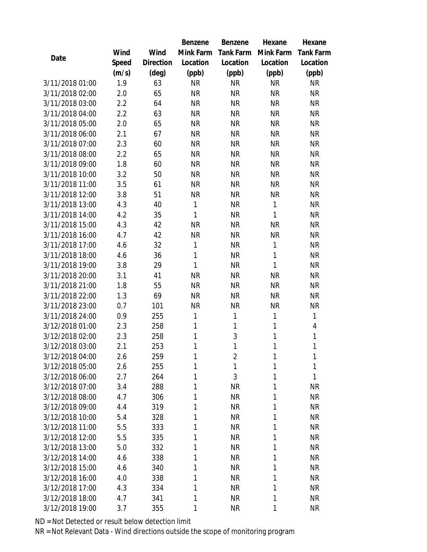|                 |       |                | Benzene      | Benzene        | Hexane    | Hexane           |
|-----------------|-------|----------------|--------------|----------------|-----------|------------------|
|                 | Wind  | Wind           | Mink Farm    | Tank Farm      | Mink Farm | <b>Tank Farm</b> |
| Date            | Speed | Direction      | Location     | Location       | Location  | Location         |
|                 | (m/s) | $(\text{deg})$ | (ppb)        | (ppb)          | (ppb)     | (ppb)            |
| 3/11/2018 01:00 | 1.9   | 63             | <b>NR</b>    | <b>NR</b>      | <b>NR</b> | <b>NR</b>        |
| 3/11/2018 02:00 | 2.0   | 65             | <b>NR</b>    | <b>NR</b>      | <b>NR</b> | <b>NR</b>        |
| 3/11/2018 03:00 | 2.2   | 64             | <b>NR</b>    | <b>NR</b>      | <b>NR</b> | <b>NR</b>        |
| 3/11/2018 04:00 | 2.2   | 63             | <b>NR</b>    | <b>NR</b>      | <b>NR</b> | <b>NR</b>        |
| 3/11/2018 05:00 | 2.0   | 65             | <b>NR</b>    | <b>NR</b>      | <b>NR</b> | <b>NR</b>        |
| 3/11/2018 06:00 | 2.1   | 67             | <b>NR</b>    | <b>NR</b>      | <b>NR</b> | <b>NR</b>        |
| 3/11/2018 07:00 | 2.3   | 60             | <b>NR</b>    | <b>NR</b>      | <b>NR</b> | <b>NR</b>        |
| 3/11/2018 08:00 | 2.2   | 65             | <b>NR</b>    | <b>NR</b>      | <b>NR</b> | <b>NR</b>        |
| 3/11/2018 09:00 | 1.8   | 60             | <b>NR</b>    | <b>NR</b>      | <b>NR</b> | <b>NR</b>        |
| 3/11/2018 10:00 | 3.2   | 50             | <b>NR</b>    | <b>NR</b>      | <b>NR</b> | <b>NR</b>        |
| 3/11/2018 11:00 | 3.5   | 61             | <b>NR</b>    | <b>NR</b>      | <b>NR</b> | <b>NR</b>        |
| 3/11/2018 12:00 | 3.8   | 51             | <b>NR</b>    | <b>NR</b>      | <b>NR</b> | <b>NR</b>        |
| 3/11/2018 13:00 | 4.3   | 40             | $\mathbf{1}$ | <b>NR</b>      | 1         | <b>NR</b>        |
| 3/11/2018 14:00 | 4.2   | 35             | 1            | <b>NR</b>      | 1         | <b>NR</b>        |
| 3/11/2018 15:00 | 4.3   | 42             | <b>NR</b>    | <b>NR</b>      | <b>NR</b> | <b>NR</b>        |
| 3/11/2018 16:00 | 4.7   | 42             | <b>NR</b>    | <b>NR</b>      | <b>NR</b> | <b>NR</b>        |
| 3/11/2018 17:00 | 4.6   | 32             | 1            | <b>NR</b>      | 1         | <b>NR</b>        |
| 3/11/2018 18:00 | 4.6   | 36             | 1            | <b>NR</b>      | 1         | <b>NR</b>        |
| 3/11/2018 19:00 | 3.8   | 29             | 1            | <b>NR</b>      | 1         | <b>NR</b>        |
| 3/11/2018 20:00 | 3.1   | 41             | <b>NR</b>    | <b>NR</b>      | <b>NR</b> | <b>NR</b>        |
| 3/11/2018 21:00 | 1.8   | 55             | <b>NR</b>    | <b>NR</b>      | <b>NR</b> | <b>NR</b>        |
| 3/11/2018 22:00 | 1.3   | 69             | <b>NR</b>    | <b>NR</b>      | <b>NR</b> | <b>NR</b>        |
| 3/11/2018 23:00 | 0.7   | 101            | <b>NR</b>    | <b>NR</b>      | <b>NR</b> | <b>NR</b>        |
| 3/11/2018 24:00 | 0.9   | 255            | 1            | $\mathbf{1}$   | 1         | $\mathbf{1}$     |
| 3/12/2018 01:00 | 2.3   | 258            | 1            | $\mathbf{1}$   | 1         | 4                |
| 3/12/2018 02:00 | 2.3   | 258            | 1            | 3              | 1         | $\mathbf{1}$     |
| 3/12/2018 03:00 | 2.1   | 253            | 1            | 1              | 1         | 1                |
| 3/12/2018 04:00 | 2.6   | 259            | 1            | $\overline{2}$ | 1         | 1                |
| 3/12/2018 05:00 | 2.6   | 255            | 1            | 1              | 1         | 1                |
| 3/12/2018 06:00 | 2.7   | 264            | 1            | 3              | 1         | $\mathbf{1}$     |
| 3/12/2018 07:00 | 3.4   | 288            | 1            | <b>NR</b>      | 1         | <b>NR</b>        |
| 3/12/2018 08:00 | 4.7   | 306            | 1            | <b>NR</b>      | 1         | <b>NR</b>        |
| 3/12/2018 09:00 | 4.4   | 319            | 1            | <b>NR</b>      | 1         | <b>NR</b>        |
| 3/12/2018 10:00 | 5.4   | 328            | 1            | <b>NR</b>      | 1         | <b>NR</b>        |
| 3/12/2018 11:00 | 5.5   | 333            | 1            | <b>NR</b>      | 1         | <b>NR</b>        |
| 3/12/2018 12:00 | 5.5   | 335            | 1            | <b>NR</b>      | 1         | <b>NR</b>        |
| 3/12/2018 13:00 | 5.0   | 332            | 1            | <b>NR</b>      | 1         | <b>NR</b>        |
| 3/12/2018 14:00 | 4.6   | 338            | 1            | <b>NR</b>      | 1         | <b>NR</b>        |
| 3/12/2018 15:00 | 4.6   | 340            | 1            | <b>NR</b>      | 1         | <b>NR</b>        |
| 3/12/2018 16:00 | 4.0   | 338            | 1            | <b>NR</b>      | 1         | NR               |
| 3/12/2018 17:00 | 4.3   | 334            | 1            | <b>NR</b>      | 1         | <b>NR</b>        |
| 3/12/2018 18:00 | 4.7   | 341            | 1            | <b>NR</b>      | 1         | NR               |
| 3/12/2018 19:00 | 3.7   | 355            | 1            | <b>NR</b>      | 1         | <b>NR</b>        |

ND = Not Detected or result below detection limit

NR = Not Relevant Data - Wind directions outside the scope of monitoring program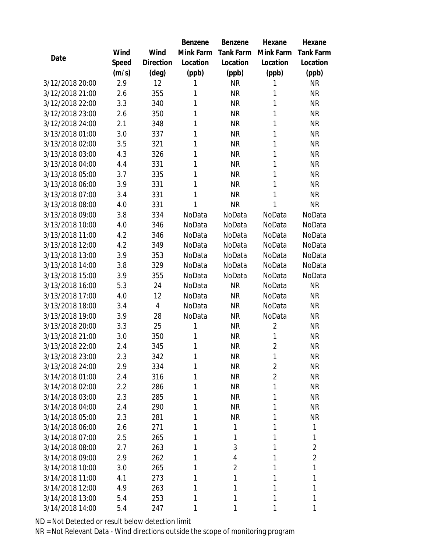|                 |       |                | Benzene   | Benzene          | Hexane         | Hexane           |
|-----------------|-------|----------------|-----------|------------------|----------------|------------------|
|                 | Wind  | Wind           | Mink Farm | <b>Tank Farm</b> | Mink Farm      | <b>Tank Farm</b> |
| Date            | Speed | Direction      | Location  | Location         | Location       | Location         |
|                 | (m/s) | $(\text{deg})$ | (ppb)     | (ppb)            | (ppb)          | (ppb)            |
| 3/12/2018 20:00 | 2.9   | 12             | 1         | <b>NR</b>        | 1              | <b>NR</b>        |
| 3/12/2018 21:00 | 2.6   | 355            | 1         | <b>NR</b>        | 1              | <b>NR</b>        |
| 3/12/2018 22:00 | 3.3   | 340            | 1         | <b>NR</b>        | 1              | <b>NR</b>        |
| 3/12/2018 23:00 | 2.6   | 350            | 1         | <b>NR</b>        | 1              | <b>NR</b>        |
| 3/12/2018 24:00 | 2.1   | 348            | 1         | <b>NR</b>        | 1              | <b>NR</b>        |
| 3/13/2018 01:00 | 3.0   | 337            | 1         | <b>NR</b>        | 1              | <b>NR</b>        |
| 3/13/2018 02:00 | 3.5   | 321            | 1         | <b>NR</b>        | 1              | <b>NR</b>        |
| 3/13/2018 03:00 | 4.3   | 326            | 1         | <b>NR</b>        | 1              | <b>NR</b>        |
| 3/13/2018 04:00 | 4.4   | 331            | 1         | <b>NR</b>        | 1              | <b>NR</b>        |
| 3/13/2018 05:00 | 3.7   | 335            | 1         | <b>NR</b>        | 1              | <b>NR</b>        |
| 3/13/2018 06:00 | 3.9   | 331            | 1         | <b>NR</b>        | 1              | <b>NR</b>        |
| 3/13/2018 07:00 | 3.4   | 331            | 1         | <b>NR</b>        | 1              | <b>NR</b>        |
| 3/13/2018 08:00 | 4.0   | 331            | 1         | <b>NR</b>        | 1              | <b>NR</b>        |
| 3/13/2018 09:00 | 3.8   | 334            | NoData    | NoData           | NoData         | NoData           |
| 3/13/2018 10:00 | 4.0   | 346            | NoData    | NoData           | NoData         | NoData           |
| 3/13/2018 11:00 | 4.2   | 346            | NoData    | NoData           | NoData         | NoData           |
| 3/13/2018 12:00 | 4.2   | 349            | NoData    | NoData           | NoData         | NoData           |
| 3/13/2018 13:00 | 3.9   | 353            | NoData    | NoData           | NoData         | NoData           |
| 3/13/2018 14:00 | 3.8   | 329            | NoData    | NoData           | NoData         | NoData           |
| 3/13/2018 15:00 | 3.9   | 355            | NoData    | NoData           | NoData         | NoData           |
| 3/13/2018 16:00 | 5.3   | 24             | NoData    | <b>NR</b>        | NoData         | <b>NR</b>        |
| 3/13/2018 17:00 | 4.0   | 12             | NoData    | <b>NR</b>        | NoData         | <b>NR</b>        |
| 3/13/2018 18:00 | 3.4   | 4              | NoData    | <b>NR</b>        | NoData         | <b>NR</b>        |
| 3/13/2018 19:00 | 3.9   | 28             | NoData    | <b>NR</b>        | NoData         | <b>NR</b>        |
| 3/13/2018 20:00 | 3.3   | 25             | 1         | <b>NR</b>        | $\overline{2}$ | <b>NR</b>        |
| 3/13/2018 21:00 | 3.0   | 350            | 1         | <b>NR</b>        | 1              | <b>NR</b>        |
| 3/13/2018 22:00 | 2.4   | 345            | 1         | <b>NR</b>        | $\overline{2}$ | <b>NR</b>        |
| 3/13/2018 23:00 | 2.3   | 342            | 1         | <b>NR</b>        | 1              | <b>NR</b>        |
| 3/13/2018 24:00 | 2.9   | 334            | 1         | <b>NR</b>        | $\overline{2}$ | <b>NR</b>        |
| 3/14/2018 01:00 | 2.4   | 316            | 1         | NR               | $\overline{2}$ | NR               |
| 3/14/2018 02:00 | 2.2   | 286            | 1         | <b>NR</b>        | 1              | <b>NR</b>        |
| 3/14/2018 03:00 | 2.3   | 285            | 1         | <b>NR</b>        | 1              | <b>NR</b>        |
| 3/14/2018 04:00 | 2.4   | 290            | 1         | <b>NR</b>        | 1              | NR               |
| 3/14/2018 05:00 | 2.3   | 281            | 1         | <b>NR</b>        | 1              | <b>NR</b>        |
| 3/14/2018 06:00 | 2.6   | 271            | 1         | 1                | 1              | $\mathbf{1}$     |
| 3/14/2018 07:00 | 2.5   | 265            | 1         | 1                | 1              | $\mathbf{1}$     |
| 3/14/2018 08:00 | 2.7   | 263            | 1         | 3                | 1              | $\overline{2}$   |
| 3/14/2018 09:00 | 2.9   | 262            | 1         | 4                | 1              | $\overline{2}$   |
| 3/14/2018 10:00 | 3.0   | 265            | 1         | $\overline{2}$   | 1              | $\mathbf{1}$     |
| 3/14/2018 11:00 | 4.1   | 273            | 1         | 1                | 1              | 1                |
| 3/14/2018 12:00 | 4.9   | 263            | 1         | 1                | 1              | 1                |
| 3/14/2018 13:00 | 5.4   | 253            | 1         | 1                | 1              | 1                |
| 3/14/2018 14:00 | 5.4   | 247            | 1         | 1                |                | 1                |

ND = Not Detected or result below detection limit

NR = Not Relevant Data - Wind directions outside the scope of monitoring program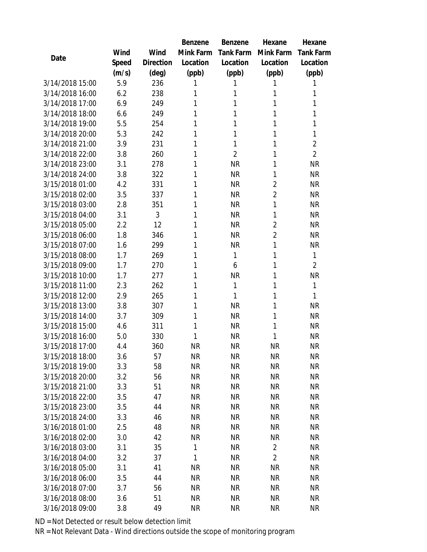|                                    |            |           | <b>Benzene</b>         | Benzene                | Hexane                 | Hexane           |
|------------------------------------|------------|-----------|------------------------|------------------------|------------------------|------------------|
|                                    | Wind       | Wind      | Mink Farm              | <b>Tank Farm</b>       | Mink Farm              | <b>Tank Farm</b> |
| Date                               | Speed      | Direction | Location               | Location               | Location               | Location         |
|                                    | (m/s)      | (deg)     | (ppb)                  | (ppb)                  | (ppb)                  | (ppb)            |
| 3/14/2018 15:00                    | 5.9        | 236       | 1                      | 1                      | 1                      | 1                |
| 3/14/2018 16:00                    | 6.2        | 238       | 1                      | 1                      | 1                      | 1                |
| 3/14/2018 17:00                    | 6.9        | 249       | 1                      | 1                      | 1                      | 1                |
| 3/14/2018 18:00                    | 6.6        | 249       | 1                      | 1                      | 1                      | 1                |
| 3/14/2018 19:00                    | 5.5        | 254       | 1                      | 1                      | 1                      | 1                |
| 3/14/2018 20:00                    | 5.3        | 242       | 1                      | 1                      | 1                      | 1                |
| 3/14/2018 21:00                    | 3.9        | 231       | 1                      | 1                      | 1                      | $\overline{2}$   |
| 3/14/2018 22:00                    | 3.8        | 260       | 1                      | $\overline{2}$         | 1                      | $\overline{2}$   |
| 3/14/2018 23:00                    | 3.1        | 278       | 1                      | <b>NR</b>              | 1                      | <b>NR</b>        |
| 3/14/2018 24:00                    | 3.8        | 322       | 1                      | <b>NR</b>              | 1                      | <b>NR</b>        |
| 3/15/2018 01:00                    | 4.2        | 331       | 1                      | <b>NR</b>              | $\overline{2}$         | <b>NR</b>        |
| 3/15/2018 02:00                    | 3.5        | 337       | 1                      | <b>NR</b>              | $\overline{2}$         | <b>NR</b>        |
| 3/15/2018 03:00                    | 2.8        | 351       | 1                      | <b>NR</b>              | 1                      | <b>NR</b>        |
| 3/15/2018 04:00                    | 3.1        | 3         | 1                      | <b>NR</b>              | 1                      | <b>NR</b>        |
| 3/15/2018 05:00                    | 2.2        | 12        | 1                      | <b>NR</b>              | $\overline{2}$         | <b>NR</b>        |
| 3/15/2018 06:00                    | 1.8        | 346       | 1                      | <b>NR</b>              | $\overline{2}$         | <b>NR</b>        |
| 3/15/2018 07:00                    | 1.6        | 299       | 1                      | <b>NR</b>              | 1                      | <b>NR</b>        |
| 3/15/2018 08:00                    | 1.7        | 269       | 1                      | 1                      | 1                      | $\mathbf{1}$     |
| 3/15/2018 09:00                    | 1.7        | 270       | 1                      | 6                      | 1                      | $\overline{2}$   |
| 3/15/2018 10:00                    | 1.7        | 277       | 1                      | <b>NR</b>              | 1                      | <b>NR</b>        |
| 3/15/2018 11:00                    | 2.3        | 262       | 1                      | 1                      | 1                      | 1                |
| 3/15/2018 12:00                    | 2.9        | 265       | 1                      | 1                      | 1                      | 1                |
| 3/15/2018 13:00                    | 3.8        | 307       | 1                      | <b>NR</b>              | 1                      | <b>NR</b>        |
| 3/15/2018 14:00                    | 3.7        | 309       | 1                      | <b>NR</b>              | 1                      | <b>NR</b>        |
| 3/15/2018 15:00                    | 4.6        | 311       | 1                      | <b>NR</b>              | 1                      | <b>NR</b>        |
| 3/15/2018 16:00                    | 5.0        | 330       | 1                      | <b>NR</b>              | 1                      | <b>NR</b>        |
| 3/15/2018 17:00                    | 4.4        | 360       | <b>NR</b>              | <b>NR</b>              | <b>NR</b>              | <b>NR</b>        |
| 3/15/2018 18:00                    | 3.6        | 57        | ΝR                     | <b>NR</b>              | NR                     | <b>NR</b>        |
| 3/15/2018 19:00                    | 3.3        | 58        | <b>NR</b>              | <b>NR</b>              | <b>NR</b>              | <b>NR</b>        |
| 3/15/2018 20:00                    | 3.2        | 56        | <b>NR</b>              | <b>NR</b>              | <b>NR</b>              | NR               |
| 3/15/2018 21:00                    | 3.3        | 51        | <b>NR</b>              | <b>NR</b>              | <b>NR</b>              | <b>NR</b>        |
| 3/15/2018 22:00<br>3/15/2018 23:00 | 3.5        | 47        | <b>NR</b>              | <b>NR</b>              | <b>NR</b>              | <b>NR</b>        |
|                                    | 3.5        | 44        | <b>NR</b>              | <b>NR</b>              | NR                     | NR               |
| 3/15/2018 24:00<br>3/16/2018 01:00 | 3.3<br>2.5 | 46<br>48  | <b>NR</b><br><b>NR</b> | <b>NR</b><br><b>NR</b> | <b>NR</b><br><b>NR</b> | <b>NR</b>        |
| 3/16/2018 02:00                    |            | 42        | <b>NR</b>              | <b>NR</b>              | <b>NR</b>              | NR<br><b>NR</b>  |
| 3/16/2018 03:00                    | 3.0<br>3.1 | 35        | 1                      | <b>NR</b>              | $\overline{2}$         | <b>NR</b>        |
| 3/16/2018 04:00                    | 3.2        | 37        | 1                      | <b>NR</b>              | $\overline{2}$         | NR               |
| 3/16/2018 05:00                    | 3.1        | 41        | <b>NR</b>              | <b>NR</b>              | <b>NR</b>              | <b>NR</b>        |
| 3/16/2018 06:00                    | 3.5        | 44        | <b>NR</b>              | <b>NR</b>              | <b>NR</b>              | NR               |
| 3/16/2018 07:00                    | 3.7        | 56        | <b>NR</b>              | <b>NR</b>              | <b>NR</b>              | <b>NR</b>        |
| 3/16/2018 08:00                    | 3.6        | 51        | <b>NR</b>              | NR                     | <b>NR</b>              | NR               |
| 3/16/2018 09:00                    | 3.8        | 49        | <b>NR</b>              | <b>NR</b>              | <b>NR</b>              | <b>NR</b>        |
|                                    |            |           |                        |                        |                        |                  |

ND = Not Detected or result below detection limit

NR = Not Relevant Data - Wind directions outside the scope of monitoring program